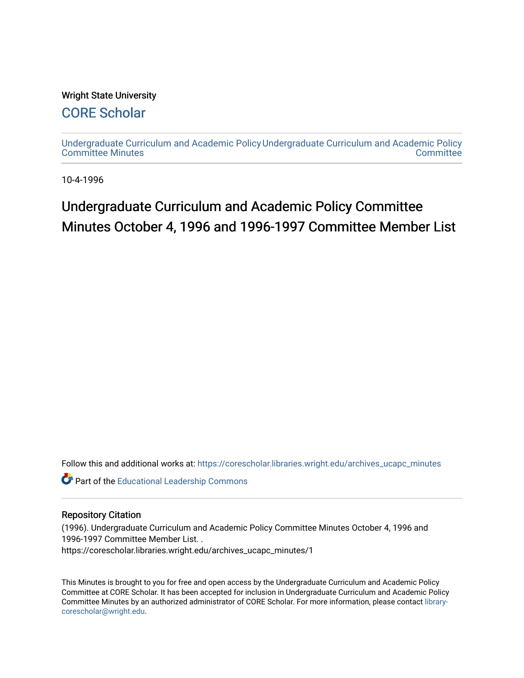### Wright State University

### [CORE Scholar](https://corescholar.libraries.wright.edu/)

[Undergraduate Curriculum and Academic Policy](https://corescholar.libraries.wright.edu/archives_ucapc_minutes) [Undergraduate Curriculum and Academic Policy](https://corescholar.libraries.wright.edu/archives_ucapc)  [Committee Minutes](https://corescholar.libraries.wright.edu/archives_ucapc_minutes) **Committee** 

10-4-1996

## Undergraduate Curriculum and Academic Policy Committee Minutes October 4, 1996 and 1996-1997 Committee Member List

Follow this and additional works at: [https://corescholar.libraries.wright.edu/archives\\_ucapc\\_minutes](https://corescholar.libraries.wright.edu/archives_ucapc_minutes?utm_source=corescholar.libraries.wright.edu%2Farchives_ucapc_minutes%2F1&utm_medium=PDF&utm_campaign=PDFCoverPages) 

Part of the [Educational Leadership Commons](http://network.bepress.com/hgg/discipline/1230?utm_source=corescholar.libraries.wright.edu%2Farchives_ucapc_minutes%2F1&utm_medium=PDF&utm_campaign=PDFCoverPages) 

#### Repository Citation

(1996). Undergraduate Curriculum and Academic Policy Committee Minutes October 4, 1996 and 1996-1997 Committee Member List. . https://corescholar.libraries.wright.edu/archives\_ucapc\_minutes/1

This Minutes is brought to you for free and open access by the Undergraduate Curriculum and Academic Policy Committee at CORE Scholar. It has been accepted for inclusion in Undergraduate Curriculum and Academic Policy Committee Minutes by an authorized administrator of CORE Scholar. For more information, please contact [library](mailto:library-corescholar@wright.edu)[corescholar@wright.edu](mailto:library-corescholar@wright.edu).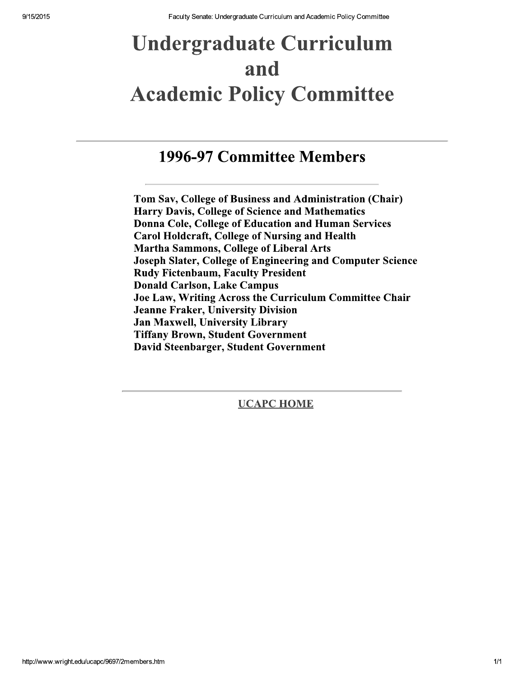# **Undergraduate Curriculum** and **Academic Policy Committee**

## 1996-97 Committee Members

Tom Sav, College of Business and Administration (Chair) **Harry Davis, College of Science and Mathematics** Donna Cole, College of Education and Human Services **Carol Holdcraft, College of Nursing and Health Martha Sammons, College of Liberal Arts** Joseph Slater, College of Engineering and Computer Science **Rudy Fictenbaum, Faculty President Donald Carlson, Lake Campus** Joe Law, Writing Across the Curriculum Committee Chair **Jeanne Fraker, University Division** Jan Maxwell, University Library **Tiffany Brown, Student Government** David Steenbarger, Student Government

**UCAPC HOME**